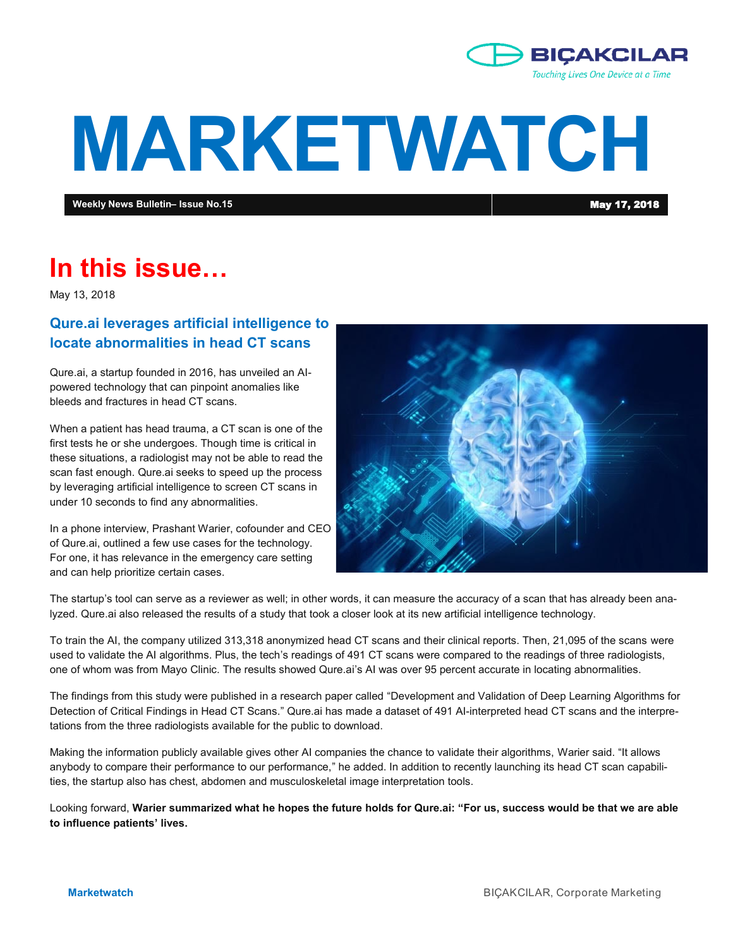

# **MARKETWATCH**

**Weekly News Bulletin– Issue No.15** May 17, 2018

# **In this issue…**

May 13, 2018

# **Qure.ai leverages artificial intelligence to locate abnormalities in head CT scans**

Qure.ai, a startup founded in 2016, has unveiled an AIpowered technology that can pinpoint anomalies like bleeds and fractures in head CT scans.

When a patient has head trauma, a CT scan is one of the first tests he or she undergoes. Though time is critical in these situations, a radiologist may not be able to read the scan fast enough. Qure.ai seeks to speed up the process by leveraging artificial intelligence to screen CT scans in under 10 seconds to find any abnormalities.

In a phone interview, Prashant Warier, cofounder and CEO of Qure.ai, outlined a few use cases for the technology. For one, it has relevance in the emergency care setting and can help prioritize certain cases.



The startup's tool can serve as a reviewer as well; in other words, it can measure the accuracy of a scan that has already been analyzed. Qure.ai also released the results of a study that took a closer look at its new artificial intelligence technology.

To train the AI, the company utilized 313,318 anonymized head CT scans and their clinical reports. Then, 21,095 of the scans were used to validate the AI algorithms. Plus, the tech's readings of 491 CT scans were compared to the readings of three radiologists, one of whom was from Mayo Clinic. The results showed Qure.ai's AI was over 95 percent accurate in locating abnormalities.

The findings from this study were published in a research paper called "Development and Validation of Deep Learning Algorithms for Detection of Critical Findings in Head CT Scans." Qure.ai has made a dataset of 491 AI-interpreted head CT scans and the interpretations from the three radiologists available for the public to download.

Making the information publicly available gives other AI companies the chance to validate their algorithms, Warier said. "It allows anybody to compare their performance to our performance," he added. In addition to recently launching its head CT scan capabilities, the startup also has chest, abdomen and musculoskeletal image interpretation tools.

Looking forward, **Warier summarized what he hopes the future holds for Qure.ai: "For us, success would be that we are able to influence patients' lives.**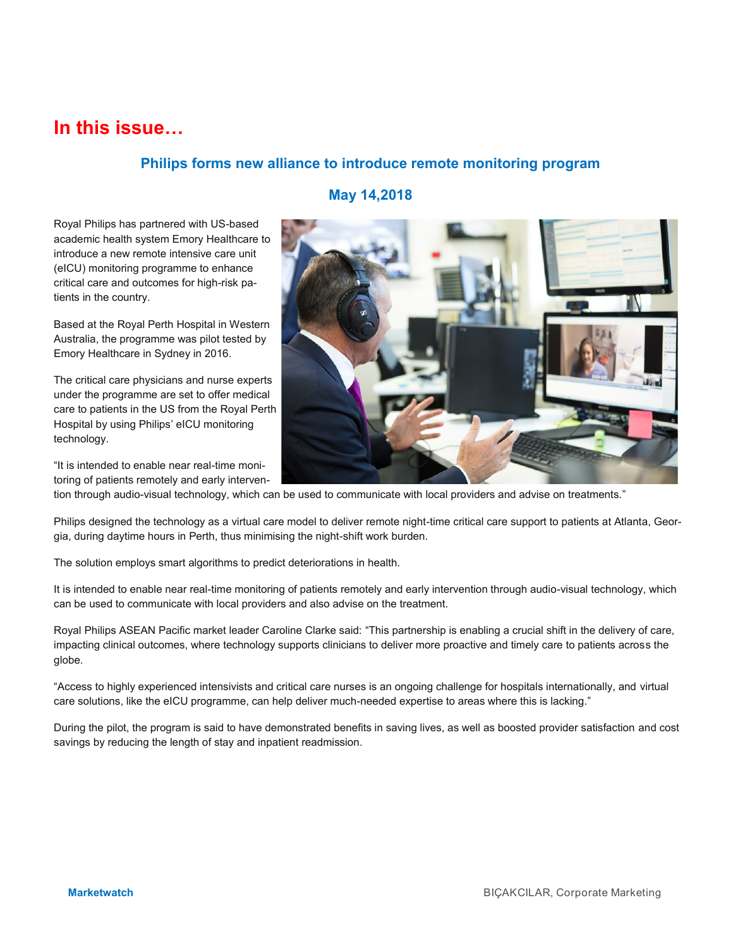# **In this issue…**

# **Philips forms new alliance to introduce remote monitoring program**

# Royal Philips has partnered with US-based academic health system Emory Healthcare to introduce a new remote intensive care unit (eICU) monitoring programme to enhance critical care and outcomes for high-risk patients in the country.

Based at the Royal Perth Hospital in Western Australia, the programme was pilot tested by Emory Healthcare in Sydney in 2016.

The critical care physicians and nurse experts under the programme are set to offer medical care to patients in the US from the Royal Perth Hospital by using Philips' eICU monitoring technology.

"It is intended to enable near real-time monitoring of patients remotely and early interven-

# **May 14,2018**

tion through audio-visual technology, which can be used to communicate with local providers and advise on treatments."

Philips designed the technology as a virtual care model to deliver remote night-time critical care support to patients at Atlanta, Georgia, during daytime hours in Perth, thus minimising the night-shift work burden.

The solution employs smart algorithms to predict deteriorations in health.

It is intended to enable near real-time monitoring of patients remotely and early intervention through audio-visual technology, which can be used to communicate with local providers and also advise on the treatment.

Royal Philips ASEAN Pacific market leader Caroline Clarke said: "This partnership is enabling a crucial shift in the delivery of care, impacting clinical outcomes, where technology supports clinicians to deliver more proactive and timely care to patients across the globe.

"Access to highly experienced intensivists and critical care nurses is an ongoing challenge for hospitals internationally, and virtual care solutions, like the eICU programme, can help deliver much-needed expertise to areas where this is lacking."

During the pilot, the program is said to have demonstrated benefits in saving lives, as well as boosted provider satisfaction and cost savings by reducing the length of stay and inpatient readmission.

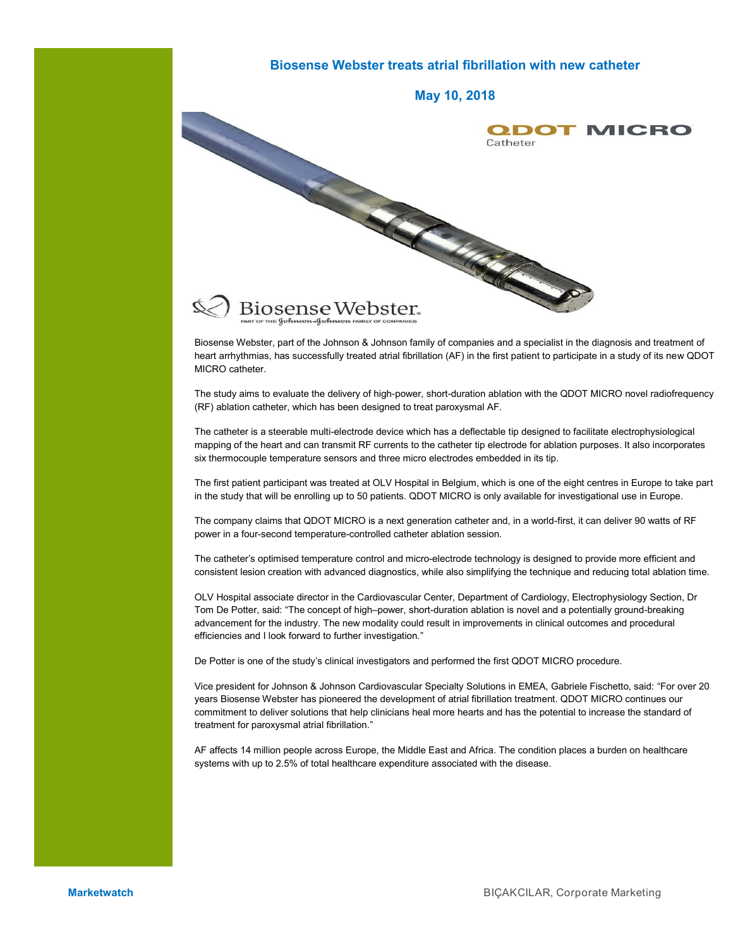# **Biosense Webster treats atrial fibrillation with new catheter May 10, 2018** Catheter Catheter **ODOT MICRO**

Biosense Webster, part of the Johnson & Johnson family of companies and a specialist in the diagnosis and treatment of heart arrhythmias, has successfully treated atrial fibrillation (AF) in the first patient to participate in a study of its new QDOT MICRO catheter.

The study aims to evaluate the delivery of high-power, short-duration ablation with the QDOT MICRO novel radiofrequency (RF) ablation catheter, which has been designed to treat paroxysmal AF.

The catheter is a steerable multi-electrode device which has a deflectable tip designed to facilitate electrophysiological mapping of the heart and can transmit RF currents to the catheter tip electrode for ablation purposes. It also incorporates six thermocouple temperature sensors and three micro electrodes embedded in its tip.

The first patient participant was treated at OLV Hospital in Belgium, which is one of the eight centres in Europe to take part in the study that will be enrolling up to 50 patients. QDOT MICRO is only available for investigational use in Europe.

The company claims that QDOT MICRO is a next generation catheter and, in a world-first, it can deliver 90 watts of RF power in a four-second temperature-controlled catheter ablation session.

The catheter's optimised temperature control and micro-electrode technology is designed to provide more efficient and consistent lesion creation with advanced diagnostics, while also simplifying the technique and reducing total ablation time.

OLV Hospital associate director in the Cardiovascular Center, Department of Cardiology, Electrophysiology Section, Dr Tom De Potter, said: "The concept of high–power, short-duration ablation is novel and a potentially ground-breaking advancement for the industry. The new modality could result in improvements in clinical outcomes and procedural efficiencies and I look forward to further investigation."

De Potter is one of the study's clinical investigators and performed the first QDOT MICRO procedure.

Vice president for Johnson & Johnson Cardiovascular Specialty Solutions in EMEA, Gabriele Fischetto, said: "For over 20 years Biosense Webster has pioneered the development of atrial fibrillation treatment. QDOT MICRO continues our commitment to deliver solutions that help clinicians heal more hearts and has the potential to increase the standard of treatment for paroxysmal atrial fibrillation."

AF affects 14 million people across Europe, the Middle East and Africa. The condition places a burden on healthcare systems with up to 2.5% of total healthcare expenditure associated with the disease.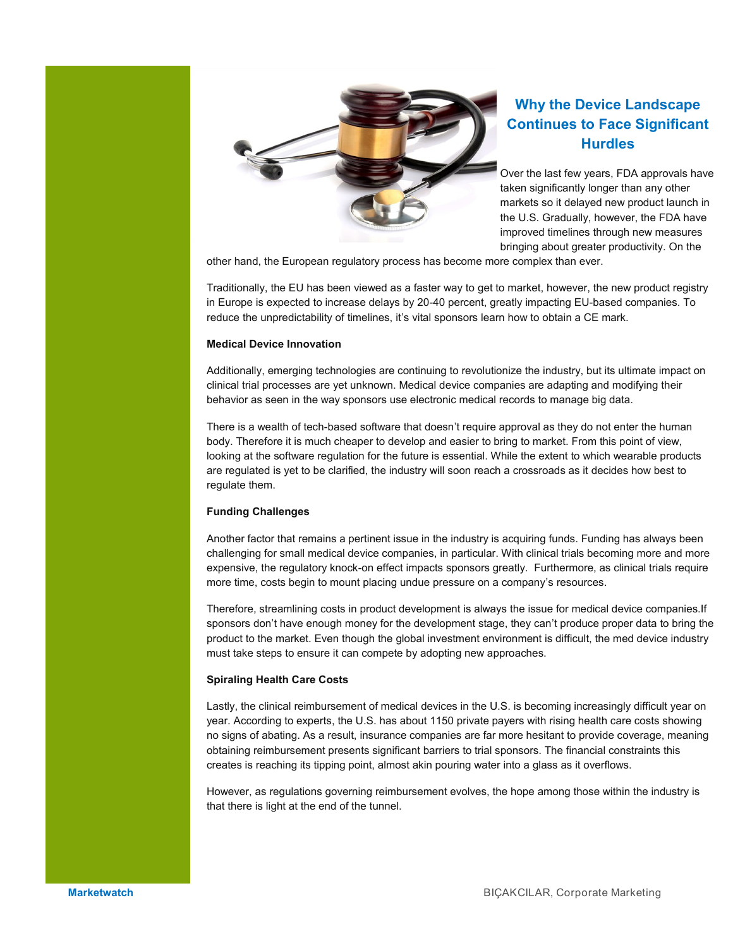

# **Why the Device Landscape Continues to Face Significant Hurdles**

Over the last few years, FDA approvals have taken significantly longer than any other markets so it delayed new product launch in the U.S. Gradually, however, the FDA have improved timelines through new measures bringing about greater productivity. On the

other hand, the European regulatory process has become more complex than ever.

Traditionally, the EU has been viewed as a faster way to get to market, however, the new product registry in Europe is expected to increase delays by 20-40 percent, greatly impacting EU-based companies. To reduce the unpredictability of timelines, it's vital sponsors learn how to obtain a CE mark.

#### **Medical Device Innovation**

Additionally, emerging technologies are continuing to revolutionize the industry, but its ultimate impact on clinical trial processes are yet unknown. Medical device companies are adapting and modifying their behavior as seen in the way sponsors use electronic medical records to manage big data.

There is a wealth of tech-based software that doesn't require approval as they do not enter the human body. Therefore it is much cheaper to develop and easier to bring to market. From this point of view, looking at the software regulation for the future is essential. While the extent to which wearable products are regulated is yet to be clarified, the industry will soon reach a crossroads as it decides how best to regulate them.

#### **Funding Challenges**

Another factor that remains a pertinent issue in the industry is acquiring funds. Funding has always been challenging for small medical device companies, in particular. With clinical trials becoming more and more expensive, the regulatory knock-on effect impacts sponsors greatly. Furthermore, as clinical trials require more time, costs begin to mount placing undue pressure on a company's resources.

Therefore, streamlining costs in product development is always the issue for medical device companies.If sponsors don't have enough money for the development stage, they can't produce proper data to bring the product to the market. Even though the global investment environment is difficult, the med device industry must take steps to ensure it can compete by adopting new approaches.

#### **Spiraling Health Care Costs**

Lastly, the clinical reimbursement of medical devices in the U.S. is becoming increasingly difficult year on year. According to experts, the U.S. has about 1150 private payers with rising health care costs showing no signs of abating. As a result, insurance companies are far more hesitant to provide coverage, meaning obtaining reimbursement presents significant barriers to trial sponsors. The financial constraints this creates is reaching its tipping point, almost akin pouring water into a glass as it overflows.

However, as regulations governing reimbursement evolves, the hope among those within the industry is that there is light at the end of the tunnel.